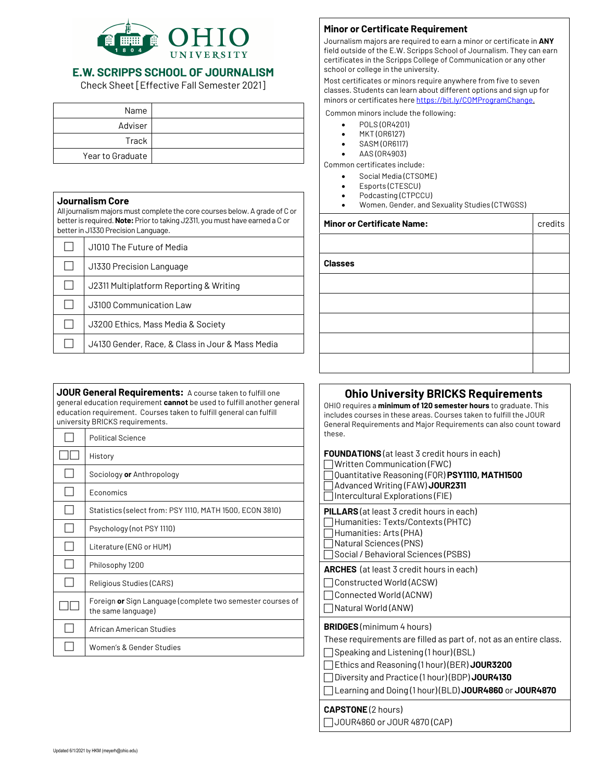

## E.W. SCRIPPS SCHOOL OF JOURNALISM

Check Sheet [Effective Fall Semester 2021]

| Name             |  |
|------------------|--|
| Adviser          |  |
| Track            |  |
| Year to Graduate |  |

### **Journalism Core**

All journalism majors must complete the core courses below. A grade of C or better is required. **Note:**Prior to taking J2311, you must have earned a C or better in J1330 Precision Language.

| J1010 The Future of Media                        |
|--------------------------------------------------|
| J1330 Precision Language                         |
| J2311 Multiplatform Reporting & Writing          |
| J3100 Communication Law                          |
| J3200 Ethics, Mass Media & Society               |
| J4130 Gender, Race, & Class in Jour & Mass Media |

**JOUR General Requirements:** A course taken to fulfill one general education requirement **cannot** be used to fulfill another general education requirement. Courses taken to fulfill general can fulfill university BRICKS requirements.

| <b>Political Science</b>                                                         |
|----------------------------------------------------------------------------------|
| History                                                                          |
| Sociology <b>or</b> Anthropology                                                 |
| Economics                                                                        |
| Statistics (select from: PSY 1110, MATH 1500, ECON 3810)                         |
| Psychology (not PSY 1110)                                                        |
| Literature (ENG or HUM)                                                          |
| Philosophy 1200                                                                  |
| Religious Studies (CARS)                                                         |
| Foreign or Sign Language (complete two semester courses of<br>the same language) |
| African American Studies                                                         |
| Women's & Gender Studies                                                         |

### **Minor or Certificate Requirement**

Journalism majors are required to earn a minor or certificate in **ANY**  field outside of the E.W. Scripps School of Journalism. They can earn certificates in the Scripps College of Communication or any other school or college in the university.

Most certificates or minors require anywhere from five to seven classes. Students can learn about different options and sign up for minors or certificates here https://bit.ly/COMProgramChange.

Common minors include the following:

- POLS (OR4201)
- MKT (OR6127)
- SASM (OR6117)
- AAS (OR4903)

Common certificates include:

- Social Media (CTSOME)
- Esports (CTESCU)
- Podcasting (CTPCCU)
- Women, Gender, and Sexuality Studies (CTWGSS)

## **Minor or Certificate Name:** credits

| <b>Classes</b> |  |
|----------------|--|
|                |  |
|                |  |
|                |  |
|                |  |
|                |  |

## **Ohio University BRICKS Requirements**

OHIO requires a **minimum of 120 semester hours** to graduate. This includes courses in these areas. Courses taken to fulfill the JOUR General Requirements and Major Requirements can also count toward these.

| <b>FOUNDATIONS</b> (at least 3 credit hours in each)<br>Written Communication (FWC)<br>Ouantitative Reasoning (FOR) PSY1110, MATH1500<br>Advanced Writing (FAW) JOUR2311<br>Intercultural Explorations (FIE)                                                                                               |
|------------------------------------------------------------------------------------------------------------------------------------------------------------------------------------------------------------------------------------------------------------------------------------------------------------|
| <b>PILLARS</b> (at least 3 credit hours in each)<br>Humanities: Texts/Contexts (PHTC)<br>Humanities: Arts (PHA)<br>Natural Sciences (PNS)<br>Social / Behavioral Sciences (PSBS)                                                                                                                           |
| <b>ARCHES</b> (at least 3 credit hours in each)<br>Constructed World (ACSW)<br>Connected World (ACNW)<br>Natural World (ANW)                                                                                                                                                                               |
| <b>BRIDGES</b> (minimum 4 hours)<br>These requirements are filled as part of, not as an entire class.<br>Speaking and Listening (1 hour) (BSL)<br>Ethics and Reasoning (1 hour) (BER) JOUR3200<br>Diversity and Practice (1 hour) (BDP) JOUR4130<br>Learning and Doing (1 hour) (BLD) JOUR4860 or JOUR4870 |

#### **CAPSTONE** (2 hours)

 $\Box$  JOUR4860 or JOUR 4870 (CAP)